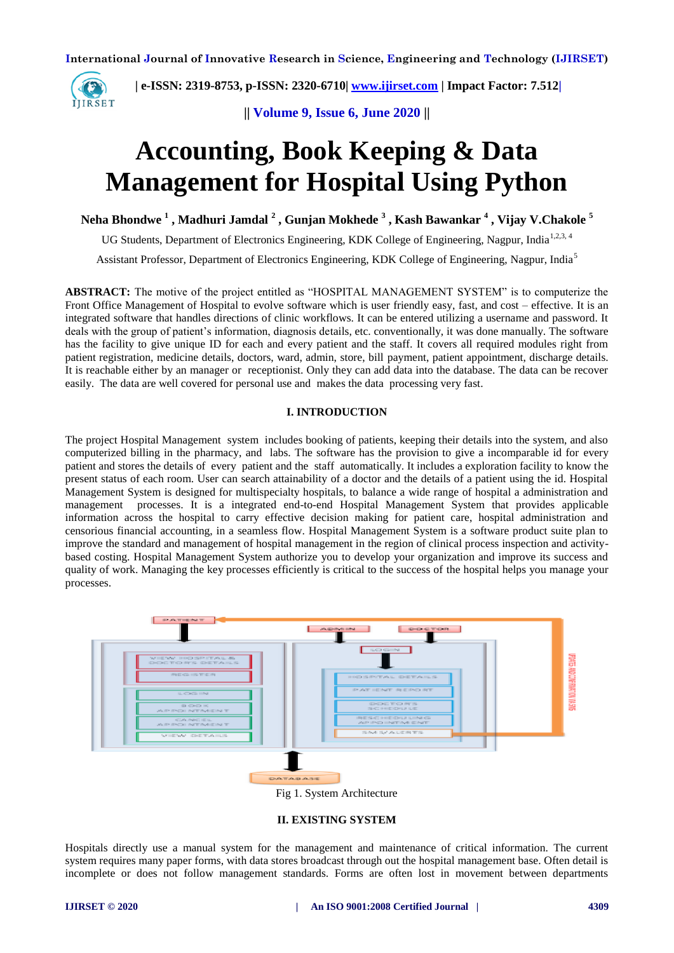

 **| e-ISSN: 2319-8753, p-ISSN: 2320-6710| [www.ijirset.com](http://www.ijirset.com/) | Impact Factor: 7.512|**

**|| Volume 9, Issue 6, June 2020 ||** 

# **Accounting, Book Keeping & Data Management for Hospital Using Python**

**Neha Bhondwe <sup>1</sup> , Madhuri Jamdal <sup>2</sup> , Gunjan Mokhede <sup>3</sup> , Kash Bawankar <sup>4</sup> , Vijay V.Chakole <sup>5</sup>**

UG Students, Department of Electronics Engineering, KDK College of Engineering, Nagpur, India<sup>1,2,3, 4</sup>

Assistant Professor, Department of Electronics Engineering, KDK College of Engineering, Nagpur, India<sup>5</sup>

**ABSTRACT:** The motive of the project entitled as "HOSPITAL MANAGEMENT SYSTEM" is to computerize the Front Office Management of Hospital to evolve software which is user friendly easy, fast, and cost – effective. It is an integrated software that handles directions of clinic workflows. It can be entered utilizing a username and password. It deals with the group of patient's information, diagnosis details, etc. conventionally, it was done manually. The software has the facility to give unique ID for each and every patient and the staff. It covers all required modules right from patient registration, medicine details, doctors, ward, admin, store, bill payment, patient appointment, discharge details. It is reachable either by an manager or receptionist. Only they can add data into the database. The data can be recover easily. The data are well covered for personal use and makes the data processing very fast.

#### **I. INTRODUCTION**

The project Hospital Management system includes booking of patients, keeping their details into the system, and also computerized billing in the pharmacy, and labs. The software has the provision to give a incomparable id for every patient and stores the details of every patient and the staff automatically. It includes a exploration facility to know the present status of each room. User can search attainability of a doctor and the details of a patient using the id. Hospital Management System is designed for multispecialty hospitals, to balance a wide range of hospital a administration and management processes. It is a integrated end-to-end Hospital Management System that provides applicable information across the hospital to carry effective decision making for patient care, hospital administration and censorious financial accounting, in a seamless flow. Hospital Management System is a software product suite plan to improve the standard and management of hospital management in the region of clinical process inspection and activitybased costing. Hospital Management System authorize you to develop your organization and improve its success and quality of work. Managing the key processes efficiently is critical to the success of the hospital helps you manage your processes.



#### **II. EXISTING SYSTEM**

Hospitals directly use a manual system for the management and maintenance of critical information. The current system requires many paper forms, with data stores broadcast through out the hospital management base. Often detail is incomplete or does not follow management standards. Forms are often lost in movement between departments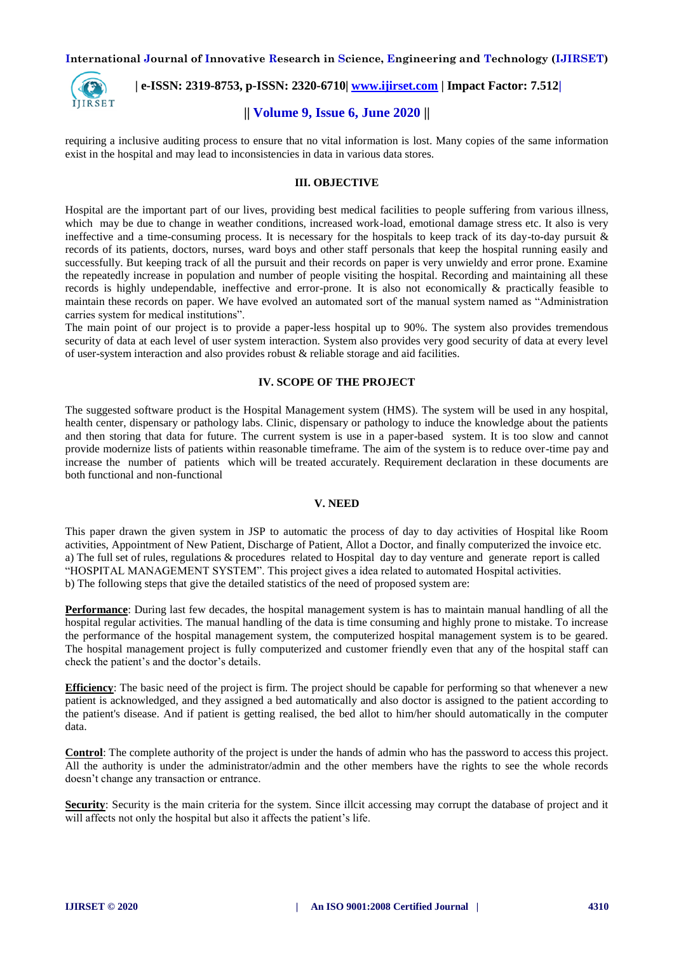

 **| e-ISSN: 2319-8753, p-ISSN: 2320-6710| [www.ijirset.com](http://www.ijirset.com/) | Impact Factor: 7.512|**

# **|| Volume 9, Issue 6, June 2020 ||**

requiring a inclusive auditing process to ensure that no vital information is lost. Many copies of the same information exist in the hospital and may lead to inconsistencies in data in various data stores.

#### **III. OBJECTIVE**

Hospital are the important part of our lives, providing best medical facilities to people suffering from various illness, which may be due to change in weather conditions, increased work-load, emotional damage stress etc. It also is very ineffective and a time-consuming process. It is necessary for the hospitals to keep track of its day-to-day pursuit & records of its patients, doctors, nurses, ward boys and other staff personals that keep the hospital running easily and successfully. But keeping track of all the pursuit and their records on paper is very unwieldy and error prone. Examine the repeatedly increase in population and number of people visiting the hospital. Recording and maintaining all these records is highly undependable, ineffective and error-prone. It is also not economically & practically feasible to maintain these records on paper. We have evolved an automated sort of the manual system named as "Administration carries system for medical institutions".

The main point of our project is to provide a paper-less hospital up to 90%. The system also provides tremendous security of data at each level of user system interaction. System also provides very good security of data at every level of user-system interaction and also provides robust & reliable storage and aid facilities.

#### **IV. SCOPE OF THE PROJECT**

The suggested software product is the Hospital Management system (HMS). The system will be used in any hospital, health center, dispensary or pathology labs. Clinic, dispensary or pathology to induce the knowledge about the patients and then storing that data for future. The current system is use in a paper-based system. It is too slow and cannot provide modernize lists of patients within reasonable timeframe. The aim of the system is to reduce over-time pay and increase the number of patients which will be treated accurately. Requirement declaration in these documents are both functional and non-functional

#### **V. NEED**

This paper drawn the given system in JSP to automatic the process of day to day activities of Hospital like Room activities, Appointment of New Patient, Discharge of Patient, Allot a Doctor, and finally computerized the invoice etc. a) The full set of rules, regulations & procedures related to Hospital day to day venture and generate report is called "HOSPITAL MANAGEMENT SYSTEM". This project gives a idea related to automated Hospital activities. b) The following steps that give the detailed statistics of the need of proposed system are:

**Performance**: During last few decades, the hospital management system is has to maintain manual handling of all the hospital regular activities. The manual handling of the data is time consuming and highly prone to mistake. To increase the performance of the hospital management system, the computerized hospital management system is to be geared. The hospital management project is fully computerized and customer friendly even that any of the hospital staff can check the patient's and the doctor's details.

**Efficiency**: The basic need of the project is firm. The project should be capable for performing so that whenever a new patient is acknowledged, and they assigned a bed automatically and also doctor is assigned to the patient according to the patient's disease. And if patient is getting realised, the bed allot to him/her should automatically in the computer data.

**Control**: The complete authority of the project is under the hands of admin who has the password to access this project. All the authority is under the administrator/admin and the other members have the rights to see the whole records doesn't change any transaction or entrance.

**Security**: Security is the main criteria for the system. Since illcit accessing may corrupt the database of project and it will affects not only the hospital but also it affects the patient's life.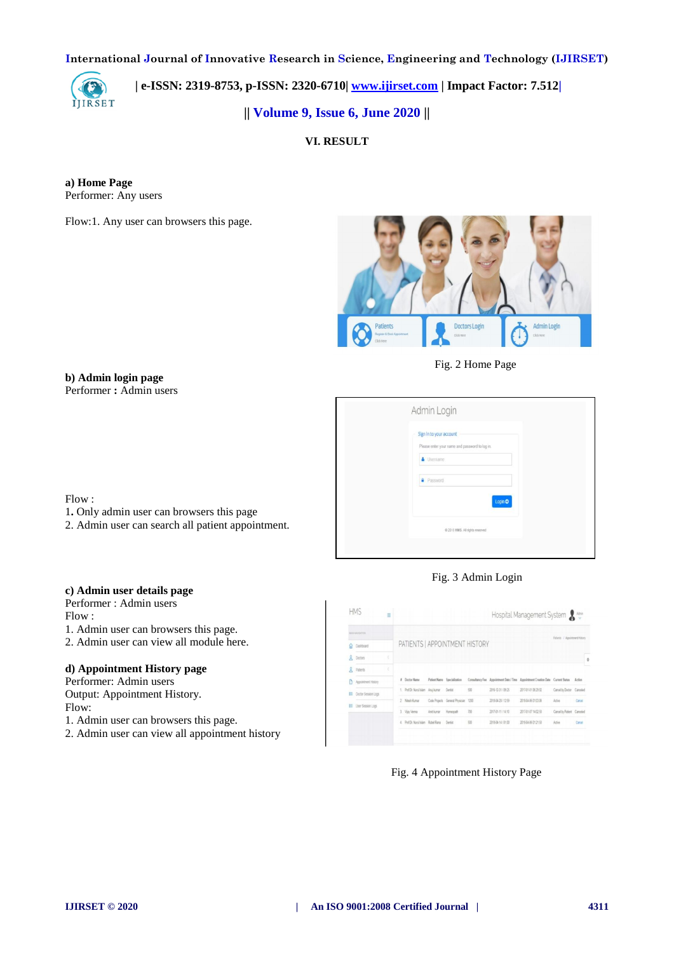

 **| e-ISSN: 2319-8753, p-ISSN: 2320-6710| [www.ijirset.com](http://www.ijirset.com/) | Impact Factor: 7.512|**

**|| Volume 9, Issue 6, June 2020 ||** 

**VI. RESULT** 

**a) Home Page** Performer: Any users

Flow:1. Any user can browsers this page.



Fig. 2 Home Page

| Admin Login                                                                                                        |
|--------------------------------------------------------------------------------------------------------------------|
| Sign in to your account<br>Please enter your name and password to log in.<br><b>A</b> Usemame<br><b>A</b> Password |
| Login O<br>@ 2018 HMS. All rights reserved                                                                         |

# Flow :

1**.** Only admin user can browsers this page 2. Admin user can search all patient appointment.

# Fig. 3 Admin Login

# **c) Admin user details page**

Performer : Admin users Flow :

1. Admin user can browsers this page.

2. Admin user can view all module here.

# **d) Appointment History page**

Performer: Admin users Output: Appointment History. Flow:

- 1. Admin user can browsers this page.
- 2. Admin user can view all appointment history

|   | MAMAGOS             |   |                                            |                    |                                      |     |                    |                                                                                  |                                |        |
|---|---------------------|---|--------------------------------------------|--------------------|--------------------------------------|-----|--------------------|----------------------------------------------------------------------------------|--------------------------------|--------|
| a | Dashboard           |   | PATIENTS   APPOINTMENT HISTORY             |                    |                                      |     |                    |                                                                                  | Patients / Appointment History |        |
| ደ | Doctors             | t |                                            |                    |                                      |     |                    |                                                                                  |                                |        |
| Ω | Patients            | ċ |                                            |                    |                                      |     |                    |                                                                                  |                                |        |
|   | Appointment History |   | # Doctor Name                              |                    | Patient Name Specialization          |     |                    | Consultancy Fee Appointment Date / Time Appointment Creation Date Current Status |                                | Action |
| 荘 | Doctor Session Logs |   | 1. Prof.Dr. Nurul Islam Anuj kumar Dentist |                    |                                      | 500 | 2016-12-31 / 09:25 | 2017-01-01 06:29:02                                                              | Cancel by Doctor Canceled      |        |
|   | E User Session Logs |   | 2. Nitesh Kumar                            |                    | Code Projects General Physician 1200 |     | 2018-04-29 / 12:59 | 2018-04-06 01:03:06                                                              | Active                         | Circel |
|   |                     |   | 3 Viay Verma                               | Amtkumar Homecoath |                                      | 700 | 2017-01-11 / 14:10 | 2017-01-07 14:02:58                                                              | Cancel by Patent Canceled      |        |
|   |                     |   | 4. Prof.Dr. Nurul Islam Rubel Rana Dentist |                    |                                      | 500 | 2018-04-14 / 01:00 | 2018-04-06 01:21:58                                                              | Adim                           | Carcel |

Fig. 4 Appointment History Page

**b) Admin login page**

Performer **:** Admin users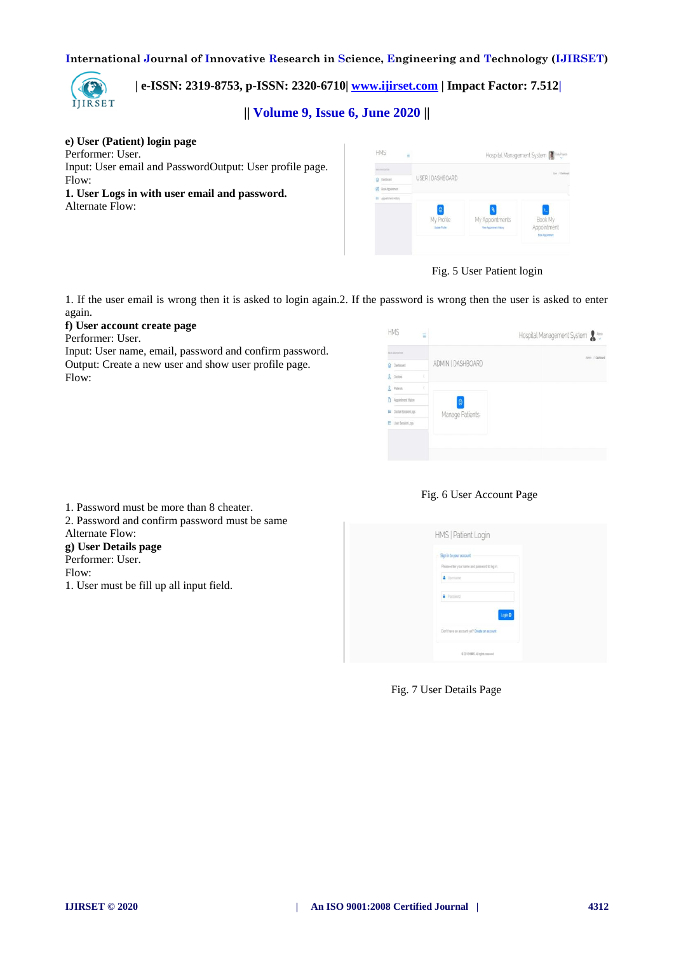

 **| e-ISSN: 2319-8753, p-ISSN: 2320-6710| [www.ijirset.com](http://www.ijirset.com/) | Impact Factor: 7.512|**

**|| Volume 9, Issue 6, June 2020 ||** 

# **e) User (Patient) login page**

Performer: User. Input: User email and PasswordOutput: User profile page. Flow:

**1. User Logs in with user email and password.** Alternate Flow:

| <b>MANUFACTURE</b>      |                                           |                                                    | Use / Dalbark                                     |
|-------------------------|-------------------------------------------|----------------------------------------------------|---------------------------------------------------|
| $Q$ Destoned            | USER   DASHBOARD                          |                                                    |                                                   |
| <b>D</b> BuskAppartnert |                                           |                                                    |                                                   |
| E Appointment History   |                                           |                                                    |                                                   |
|                         | $\bullet$<br>My Profile<br>Update Profile | My Appointments<br><b>View Appointment History</b> | Book My<br>Appointment<br><b>Busk Appointment</b> |

# Fig. 5 User Patient login

1. If the user email is wrong then it is asked to login again.2. If the password is wrong then the user is asked to enter again.

# **f) User account create page**

Performer: User.

Input: User name, email, password and confirm password. Output: Create a new user and show user profile page. Flow:

| ADMIN   DASHBOARD<br>C Destboard<br>ł<br>Doctors<br>k<br>Appointment History<br>O |                |  |                 | <b>BUILDIGGEOGY</b> |   |
|-----------------------------------------------------------------------------------|----------------|--|-----------------|---------------------|---|
| $\mathbb{R}$<br>R Patents                                                         | Almn / Dattord |  |                 |                     |   |
|                                                                                   |                |  |                 |                     |   |
|                                                                                   |                |  |                 |                     |   |
|                                                                                   |                |  |                 |                     |   |
|                                                                                   |                |  | Manage Patients | Doctor Session Logs | Е |
| E Liser Session Logs                                                              |                |  |                 |                     |   |

## Fig. 6 User Account Page

| 1. Password must be more than 8 cheater.      |
|-----------------------------------------------|
| 2. Password and confirm password must be same |
| Alternate Flow:                               |
| g) User Details page                          |
| Performer: User.                              |
| Flow:                                         |
| 1. User must be fill up all input field.      |
|                                               |

| HMS   Patient Login                                                                    |  |
|----------------------------------------------------------------------------------------|--|
| Sign in to your account<br>Please enter your name and password to log in.<br>4 Usemane |  |
| <b>A</b> Passions<br>Login C                                                           |  |
| Don't have an account yet? Create an account                                           |  |
| 0.2018 HMS, All rights reserved.                                                       |  |

#### Fig. 7 User Details Page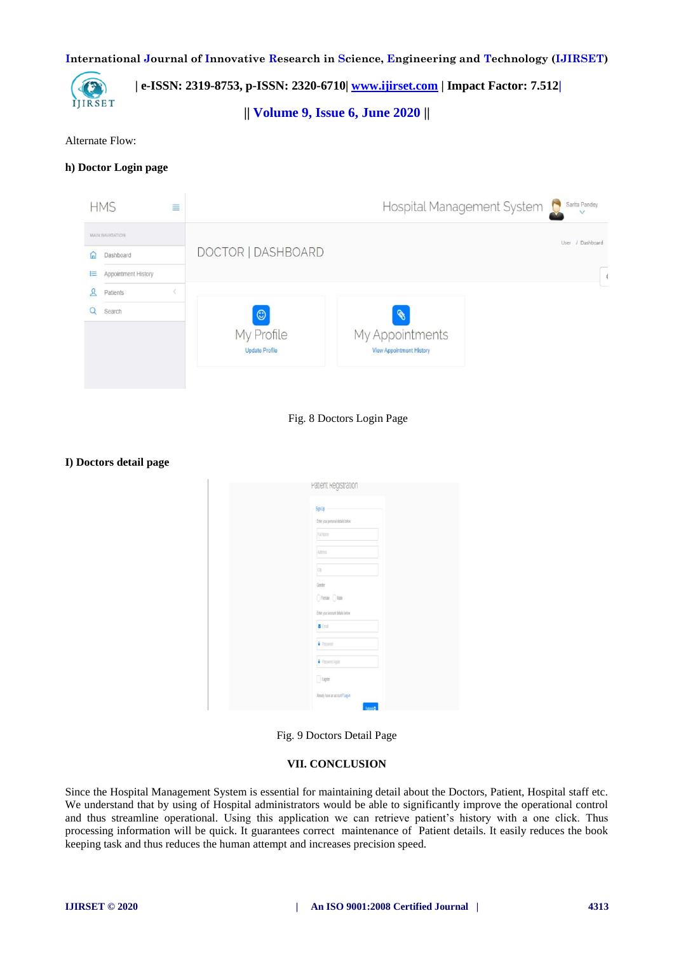

 **| e-ISSN: 2319-8753, p-ISSN: 2320-6710| [www.ijirset.com](http://www.ijirset.com/) | Impact Factor: 7.512|**

**|| Volume 9, Issue 6, June 2020 ||** 

Alternate Flow:

## **h) Doctor Login page**



## Fig. 8 Doctors Login Page

#### **I) Doctors detail page**

| Patient Registration                               |
|----------------------------------------------------|
| <b>Sign Up</b>                                     |
| Enter your personal details below:                 |
| FullName                                           |
| Atdress                                            |
| <b>Civ</b>                                         |
| Gender                                             |
| ○ Female ○ Male                                    |
| Enter your account details below:                  |
| <b>S</b> Email                                     |
| Passicid                                           |
| Passwort Again                                     |
| $\hfill\text{[lape]}$                              |
| Already have an account? Log-in<br>Sibiri <b>O</b> |

Fig. 9 Doctors Detail Page

# **VII. CONCLUSION**

Since the Hospital Management System is essential for maintaining detail about the Doctors, Patient, Hospital staff etc. We understand that by using of Hospital administrators would be able to significantly improve the operational control and thus streamline operational. Using this application we can retrieve patient's history with a one click. Thus processing information will be quick. It guarantees correct maintenance of Patient details. It easily reduces the book keeping task and thus reduces the human attempt and increases precision speed.